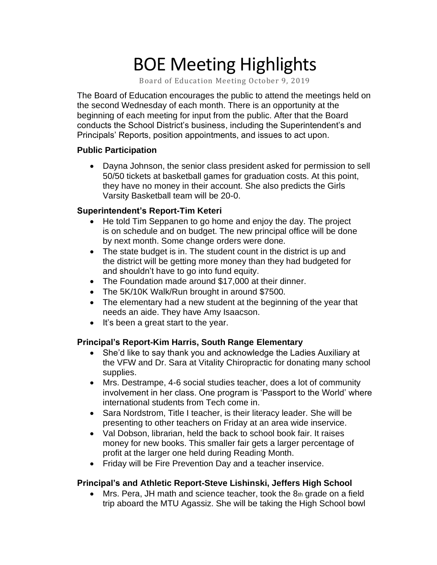# BOE Meeting Highlights

Board of Education Meeting October 9, 2019

 The Board of Education encourages the public to attend the meetings held on the second Wednesday of each month. There is an opportunity at the beginning of each meeting for input from the public. After that the Board conducts the School District's business, including the Superintendent's and Principals' Reports, position appointments, and issues to act upon.

### **Public Participation**

 • Dayna Johnson, the senior class president asked for permission to sell 50/50 tickets at basketball games for graduation costs. At this point, they have no money in their account. She also predicts the Girls Varsity Basketball team will be 20-0.

## **Superintendent's Report-Tim Keteri**

- He told Tim Seppanen to go home and enjoy the day. The project is on schedule and on budget. The new principal office will be done by next month. Some change orders were done.
- The state budget is in. The student count in the district is up and the district will be getting more money than they had budgeted for and shouldn't have to go into fund equity.
- The Foundation made around \$17,000 at their dinner.
- The 5K/10K Walk/Run brought in around \$7500.
- The elementary had a new student at the beginning of the year that needs an aide. They have Amy Isaacson.
- It's been a great start to the year.

## **Principal's Report-Kim Harris, South Range Elementary**

- • She'd like to say thank you and acknowledge the Ladies Auxiliary at the VFW and Dr. Sara at Vitality Chiropractic for donating many school supplies.
- • Mrs. Destrampe, 4-6 social studies teacher, does a lot of community involvement in her class. One program is 'Passport to the World' where international students from Tech come in.
- • Sara Nordstrom, Title I teacher, is their literacy leader. She will be presenting to other teachers on Friday at an area wide inservice.
- • Val Dobson, librarian, held the back to school book fair. It raises money for new books. This smaller fair gets a larger percentage of profit at the larger one held during Reading Month.
- Friday will be Fire Prevention Day and a teacher inservice.

## **Principal's and Athletic Report-Steve Lishinski, Jeffers High School**

• Mrs. Pera, JH math and science teacher, took the  $8<sub>th</sub>$  grade on a field trip aboard the MTU Agassiz. She will be taking the High School bowl